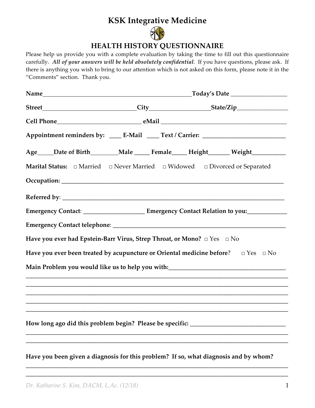## **KSK Integrative Medicine**



## **HEALTH HISTORY QUESTIONNAIRE**

Please help us provide you with a complete evaluation by taking the time to fill out this questionnaire carefully. *All of your answers will be held absolutely confidential*. If you have questions, please ask. If there is anything you wish to bring to our attention which is not asked on this form, please note it in the "Comments" section. Thank you.

|                                                                                                     | _Today's Date _____________________ |  |  |  |  |
|-----------------------------------------------------------------------------------------------------|-------------------------------------|--|--|--|--|
|                                                                                                     |                                     |  |  |  |  |
|                                                                                                     |                                     |  |  |  |  |
| Appointment reminders by: _____ E-Mail _____ Text / Carrier: ____________________                   |                                     |  |  |  |  |
| Age_____Date of Birth_________Male ______ Female_____ Height_______ Weight____________              |                                     |  |  |  |  |
|                                                                                                     |                                     |  |  |  |  |
|                                                                                                     |                                     |  |  |  |  |
|                                                                                                     |                                     |  |  |  |  |
| Emergency Contact: __________________________ Emergency Contact Relation to you:___________________ |                                     |  |  |  |  |
|                                                                                                     |                                     |  |  |  |  |
| Have you ever had Epstein-Barr Virus, Strep Throat, or Mono? $\Box$ Yes $\Box$ No                   |                                     |  |  |  |  |
| Have you ever been treated by acupuncture or Oriental medicine before? $\square$ Yes $\square$ No   |                                     |  |  |  |  |
| Main Problem you would like us to help you with:________________________________                    |                                     |  |  |  |  |
|                                                                                                     |                                     |  |  |  |  |
|                                                                                                     |                                     |  |  |  |  |
|                                                                                                     |                                     |  |  |  |  |
| How long ago did this problem begin? Please be specific:                                            |                                     |  |  |  |  |
|                                                                                                     |                                     |  |  |  |  |
| Have you been given a diagnosis for this problem? If so, what diagnosis and by whom?                |                                     |  |  |  |  |

**\_\_\_\_\_\_\_\_\_\_\_\_\_\_\_\_\_\_\_\_\_\_\_\_\_\_\_\_\_\_\_\_\_\_\_\_\_\_\_\_\_\_\_\_\_\_\_\_\_\_\_\_\_\_\_\_\_\_\_\_\_\_\_\_\_\_\_\_\_\_\_\_\_\_\_\_\_\_\_\_\_\_\_\_\_ \_\_\_\_\_\_\_\_\_\_\_\_\_\_\_\_\_\_\_\_\_\_\_\_\_\_\_\_\_\_\_\_\_\_\_\_\_\_\_\_\_\_\_\_\_\_\_\_\_\_\_\_\_\_\_\_\_\_\_\_\_\_\_\_\_\_\_\_\_\_\_\_\_\_\_\_\_\_\_\_\_\_\_\_\_**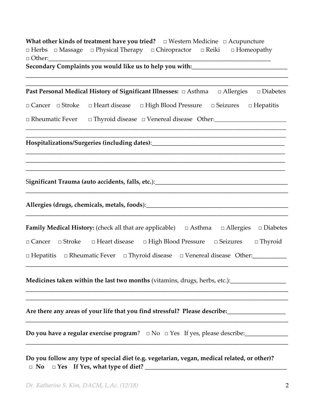|               | What other kinds of treatment have you tried? $\Box$ Western Medicine $\Box$ Acupuncture               |  |  |
|---------------|--------------------------------------------------------------------------------------------------------|--|--|
|               | $\Box$ Herbs $\Box$ Massage $\Box$ Physical Therapy $\Box$ Chiropractor $\Box$ Reiki $\Box$ Homeopathy |  |  |
| $\Box$ Other: |                                                                                                        |  |  |
|               | Secondary Complaints you would like us to help you with:                                               |  |  |

**\_\_\_\_\_\_\_\_\_\_\_\_\_\_\_\_\_\_\_\_\_\_\_\_\_\_\_\_\_\_\_\_\_\_\_\_\_\_\_\_\_\_\_\_\_\_\_\_\_\_\_\_\_\_\_\_\_\_\_\_\_\_\_\_\_\_\_\_\_\_\_\_\_\_\_\_\_\_\_\_\_\_\_\_\_ Past Personal Medical History of Significant Illnesses: □** Asthma **□** Allergies **□** Diabetes

**\_\_\_\_\_\_\_\_\_\_\_\_\_\_\_\_\_\_\_\_\_\_\_\_\_\_\_\_\_\_\_\_\_\_\_\_\_\_\_\_\_\_\_\_\_\_\_\_\_\_\_\_\_\_\_\_\_\_\_\_\_\_\_\_\_\_\_\_\_\_\_\_\_\_\_\_\_\_\_\_\_\_\_\_\_**

**□** Cancer **□** Stroke **□** Heart disease **□** High Blood Pressure **□** Seizures **□** Hepatitis

\_\_\_\_\_\_\_\_\_\_\_\_\_\_\_\_\_\_\_\_\_\_\_\_\_\_\_\_\_\_\_\_\_\_\_\_\_\_\_\_\_\_\_\_\_\_\_\_\_\_\_\_\_\_\_\_\_\_\_\_\_\_\_\_\_\_\_\_\_\_\_\_\_\_\_\_\_\_\_\_\_\_\_\_\_\_\_\_\_\_\_\_ **\_\_\_\_\_\_\_\_\_\_\_\_\_\_\_\_\_\_\_\_\_\_\_\_\_\_\_\_\_\_\_\_\_\_\_\_\_\_\_\_\_\_\_\_\_\_\_\_\_\_\_\_\_\_\_\_\_\_\_\_\_\_\_\_\_\_\_\_\_\_\_\_\_\_\_\_\_\_\_\_\_\_\_\_\_\_\_\_\_\_\_\_**

\_\_\_\_\_\_\_\_\_\_\_\_\_\_\_\_\_\_\_\_\_\_\_\_\_\_\_\_\_\_\_\_\_\_\_\_\_\_\_\_\_\_\_\_\_\_\_\_\_\_\_\_\_\_\_\_\_\_\_\_\_\_\_\_\_\_\_\_\_\_\_\_\_\_\_\_\_\_\_\_\_\_\_\_ \_\_\_\_\_\_\_\_\_\_\_\_\_\_\_\_\_\_\_\_\_\_\_\_\_\_\_\_\_\_\_\_\_\_\_\_\_\_\_\_\_\_\_\_\_\_\_\_\_\_\_\_\_\_\_\_\_\_\_\_\_\_\_\_\_\_\_\_\_\_\_\_\_\_\_\_\_\_\_\_\_\_\_\_ \_\_\_\_\_\_\_\_\_\_\_\_\_\_\_\_\_\_\_\_\_\_\_\_\_\_\_\_\_\_\_\_\_\_\_\_\_\_\_\_\_\_\_\_\_\_\_\_\_\_\_\_\_\_\_\_\_\_\_\_\_\_\_\_\_\_\_\_\_\_\_\_\_\_\_\_\_\_\_\_\_\_\_\_

\_\_\_\_\_\_\_\_\_\_\_\_\_\_\_\_\_\_\_\_\_\_\_\_\_\_\_\_\_\_\_\_\_\_\_\_\_\_\_\_\_\_\_\_\_\_\_\_\_\_\_\_\_\_\_\_\_\_\_\_\_\_\_\_\_\_\_\_\_\_\_\_\_\_\_\_\_\_\_\_\_\_\_\_\_

\_\_\_\_\_\_\_\_\_\_\_\_\_\_\_\_\_\_\_\_\_\_\_\_\_\_\_\_\_\_\_\_\_\_\_\_\_\_\_\_\_\_\_\_\_\_\_\_\_\_\_\_\_\_\_\_\_\_\_\_\_\_\_\_\_\_\_\_\_\_\_\_\_\_\_\_\_\_\_\_\_\_\_\_\_

□ Rheumatic Fever □ Thyroid disease □ Venereal disease Other:\_\_\_\_\_\_\_\_\_\_\_\_\_\_\_\_\_\_\_\_

**Hospitalizations/Surgeries (including dates)**:\_\_\_\_\_\_\_\_\_\_\_\_\_\_\_\_\_\_\_\_\_\_\_\_\_\_\_\_\_\_\_\_\_\_\_\_\_\_\_\_\_\_\_

S**ignificant Trauma (auto accidents, falls, etc.**):\_\_\_\_\_\_\_\_\_\_\_\_\_\_\_\_\_\_\_\_\_\_\_\_\_\_\_\_\_\_\_\_\_\_\_\_\_\_\_\_\_\_\_

**Allergies (drugs, chemicals, metals, foods**):\_\_\_\_\_\_\_\_\_\_\_\_\_\_\_\_\_\_\_\_\_\_\_\_\_\_\_\_\_\_\_\_\_\_\_\_\_\_\_\_\_\_\_\_\_\_

|  |  |                                                                                             | <b>Family Medical History:</b> (check all that are applicable) $\Box$ Asthma $\Box$ Allergies $\Box$ Diabetes |                |
|--|--|---------------------------------------------------------------------------------------------|---------------------------------------------------------------------------------------------------------------|----------------|
|  |  | $\Box$ Cancer $\Box$ Stroke $\Box$ Heart disease $\Box$ High Blood Pressure $\Box$ Seizures |                                                                                                               | $\Box$ Thyroid |
|  |  |                                                                                             | $\Box$ Hepatitis $\Box$ Rheumatic Fever $\Box$ Thyroid disease $\Box$ Venereal disease Other:                 |                |

\_\_\_\_\_\_\_\_\_\_\_\_\_\_\_\_\_\_\_\_\_\_\_\_\_\_\_\_\_\_\_\_\_\_\_\_\_\_\_\_\_\_\_\_\_\_\_\_\_\_\_\_\_\_\_\_\_\_\_\_\_\_\_\_\_\_\_\_\_\_\_\_\_\_\_\_\_\_\_\_\_\_\_\_\_

\_\_\_\_\_\_\_\_\_\_\_\_\_\_\_\_\_\_\_\_\_\_\_\_\_\_\_\_\_\_\_\_\_\_\_\_\_\_\_\_\_\_\_\_\_\_\_\_\_\_\_\_\_\_\_\_\_\_\_\_\_\_\_\_\_\_\_\_\_\_\_\_\_\_\_\_\_\_\_\_\_\_\_\_\_ \_\_\_\_\_\_\_\_\_\_\_\_\_\_\_\_\_\_\_\_\_\_\_\_\_\_\_\_\_\_\_\_\_\_\_\_\_\_\_\_\_\_\_\_\_\_\_\_\_\_\_\_\_\_\_\_\_\_\_\_\_\_\_\_\_\_\_\_\_\_\_\_\_\_\_\_\_\_\_\_\_\_\_\_\_

\_\_\_\_\_\_\_\_\_\_\_\_\_\_\_\_\_\_\_\_\_\_\_\_\_\_\_\_\_\_\_\_\_\_\_\_\_\_\_\_\_\_\_\_\_\_\_\_\_\_\_\_\_\_\_\_\_\_\_\_\_\_\_\_\_\_\_\_\_\_\_\_\_\_\_\_\_\_\_\_\_\_\_\_\_

\_\_\_\_\_\_\_\_\_\_\_\_\_\_\_\_\_\_\_\_\_\_\_\_\_\_\_\_\_\_\_\_\_\_\_\_\_\_\_\_\_\_\_\_\_\_\_\_\_\_\_\_\_\_\_\_\_\_\_\_\_\_\_\_\_\_\_\_\_\_\_\_\_\_\_\_\_\_\_\_\_\_\_\_\_

**Medicines taken within the last two months** (vitamins, drugs, herbs, etc.):

**Are there any areas of your life that you find stressful? Please describe:\_\_\_\_\_\_\_\_\_\_\_\_\_\_\_\_\_**\_\_

**Do you have a regular exercise program**? □ No □ Yes If yes, please describe:\_\_\_\_\_\_\_\_\_\_\_\_\_\_

**Do you follow any type of special diet (e.g. vegetarian, vegan, medical related, or other)? □ No □ Yes If Yes, what type of diet? \_\_\_\_\_\_\_\_\_\_\_\_\_\_\_\_\_\_\_\_\_\_\_\_\_\_\_\_\_\_\_\_\_\_\_\_\_\_\_\_\_\_\_\_\_\_**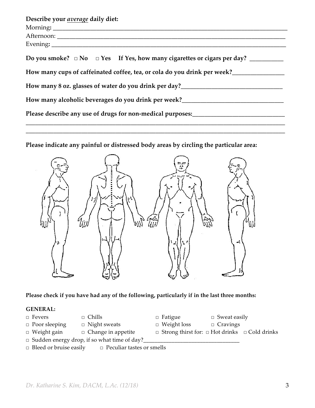| Describe your average daily diet:                                                                                               |  |  |  |  |  |
|---------------------------------------------------------------------------------------------------------------------------------|--|--|--|--|--|
|                                                                                                                                 |  |  |  |  |  |
|                                                                                                                                 |  |  |  |  |  |
|                                                                                                                                 |  |  |  |  |  |
|                                                                                                                                 |  |  |  |  |  |
| How many cups of caffeinated coffee, tea, or cola do you drink per week?_______________                                         |  |  |  |  |  |
| How many 8 oz. glasses of water do you drink per day?____________________________                                               |  |  |  |  |  |
| How many alcoholic beverages do you drink per week?                                                                             |  |  |  |  |  |
| Please describe any use of drugs for non-medical purposes:<br><u>Please describe any use of drugs for non-medical purposes:</u> |  |  |  |  |  |

**\_\_\_\_\_\_\_\_\_\_\_\_\_\_\_\_\_\_\_\_\_\_\_\_\_\_\_\_\_\_\_\_\_\_\_\_\_\_\_\_\_\_\_\_\_\_\_\_\_\_\_\_\_\_\_\_\_\_\_\_\_\_\_\_\_\_\_\_\_\_\_\_\_\_\_\_\_\_\_\_\_\_\_\_**

**Please indicate any painful or distressed body areas by circling the particular area:**



**Please check if you have had any of the following, particularly if in the last three months:**

## **GENERAL:**

- 
- 
- **□** Poor sleeping **□** Night sweats **□** Weight loss **□** Cravings
- **□** Weight gain **□** Change in appetite **□** Strong thirst for: **□** Hot drinks **□** Cold drinks
- **□** Fevers **□** Chills **□** Fatigue **□** Sweat easily
	-
	-
- □ Sudden energy drop, if so what time of day?
- **□** Bleed or bruise easily **□** Peculiar tastes or smells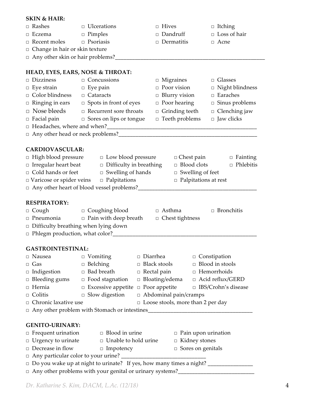## **SKIN & HAIR: □** Rashes **□** Ulcerations **□** Hives **□** Itching **□** Eczema **□** Pimples **□** Dandruff **□** Loss of hair **□** Recent moles **□** Psoriasis **□** Dermatitis **□** Acne **□** Change in hair or skin texture □ Any other skin or hair problems?\_ **HEAD, EYES, EARS, NOSE & THROAT: □** Dizziness **□** Concussions **□** Migraines **□** Glasses **□** Eye strain **□** Eye pain **□** Poor vision **□** Night blindness **□** Color blindness **□** Cataracts **□** Blurry vision **□** Earaches **□** Ringing in ears **□** Spots in front of eyes **□** Poor hearing **□** Sinus problems □ Nose bleeds **□** Recurrent sore throats **□** Grinding teeth **□** Clenching jaw **□** Facial pain **□** Sores on lips or tongue **□** Teeth problems **□** Jaw clicks **□** Headaches, where and when?\_\_\_\_\_\_\_\_\_\_\_\_\_\_\_\_\_\_\_\_\_\_\_\_\_\_\_\_\_\_\_\_\_\_\_\_\_\_\_\_\_\_\_\_\_\_\_\_\_\_\_\_\_ □ Any other head or neck problems?<br>□ **CARDIOVASCULAR: □** High blood pressure **□** Low blood pressure **□** Chest pain **□** Fainting **□** Irregular heart beat **□** Difficulty in breathing **□** Blood clots **□** Phlebitis **□** Cold hands or feet **□** Swelling of hands **□** Swelling of feet □ Varicose or spider veins □ Palpitations □ □ Palpitations at rest **□** Any other heart of blood vessel problems?\_\_\_\_\_\_\_\_\_\_\_\_\_\_\_\_\_\_\_\_\_\_\_\_\_\_\_\_\_\_\_\_\_\_\_\_\_\_\_\_\_\_ **RESPIRATORY:** □ Cough □ Coughing blood □ Asthma □ Bronchitis □ Pneumonia □ Pain with deep breath □ Chest tightness □ Difficulty breathing when lying down □ Phlegm production, what color?\_\_\_\_\_\_\_\_\_\_\_\_\_\_\_\_\_\_\_\_\_\_\_\_\_\_\_\_\_\_\_\_\_\_\_\_\_\_\_\_\_\_\_\_\_\_\_\_\_\_\_ **GASTROINTESTINAL:** □ Nausea □ Vomiting □ Diarrhea □ Constipation □ Gas □ Belching □ Black stools □ Blood in stools □ Indigestion □ Bad breath □ Rectal pain □ Hemorrhoids □ Bleeding gums □ Food stagnation □ Bloating/edema □ Acid reflux/GERD □ Hernia □ Excessive appetite □ Poor appetite □ IBS/Crohn's disease □ Colitis □ Slow digestion □ Abdominal pain/cramps □ Chronic laxative use □ Loose stools, more than 2 per day □ Any other problem with Stomach or intestines\_\_\_\_\_\_\_\_\_\_\_\_\_\_\_\_\_\_\_\_\_\_\_\_\_\_\_\_\_\_\_\_\_\_ **GENITO-URINARY:** □ Frequent urination □ Blood in urine □ Pain upon urination □ Urgency to urinate □ Unable to hold urine □ Kidney stones □ Decrease in flow □ Impotency □ Sores on genitals □ Any particular color to your urine? \_\_\_\_\_\_\_\_\_\_\_\_\_\_\_\_\_\_\_\_\_\_\_\_\_\_\_\_\_\_ □ Do you wake up at night to urinate? If yes, how many times a night? \_\_\_\_\_\_\_\_\_\_\_\_\_\_\_\_ □ Any other problems with your genital or urinary systems?<br>□